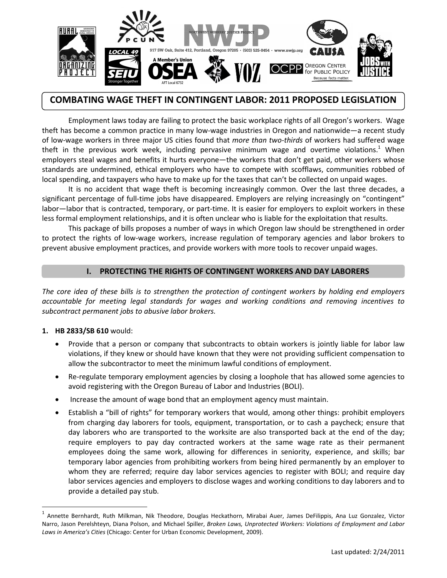

# **COMBATING WAGE THEFT IN CONTINGENT LABOR: 2011 PROPOSED LEGISLATION**

Employment laws today are failing to protect the basic workplace rights of all Oregon's workers. Wage theft has become a common practice in many low-wage industries in Oregon and nationwide—a recent study of low-wage workers in three major US cities found that *more than two-thirds* of workers had suffered wage theft in the previous work week, including pervasive minimum wage and overtime violations.<sup>1</sup> When employers steal wages and benefits it hurts everyone—the workers that don't get paid, other workers whose standards are undermined, ethical employers who have to compete with scofflaws, communities robbed of local spending, and taxpayers who have to make up for the taxes that can't be collected on unpaid wages.

It is no accident that wage theft is becoming increasingly common. Over the last three decades, a significant percentage of full-time jobs have disappeared. Employers are relying increasingly on "contingent" labor—labor that is contracted, temporary, or part-time. It is easier for employers to exploit workers in these less formal employment relationships, and it is often unclear who is liable for the exploitation that results.

This package of bills proposes a number of ways in which Oregon law should be strengthened in order to protect the rights of low-wage workers, increase regulation of temporary agencies and labor brokers to prevent abusive employment practices, and provide workers with more tools to recover unpaid wages.

## **I. PROTECTING THE RIGHTS OF CONTINGENT WORKERS AND DAY LABORERS**

*The core idea of these bills is to strengthen the protection of contingent workers by holding end employers accountable for meeting legal standards for wages and working conditions and removing incentives to subcontract permanent jobs to abusive labor brokers.* 

### **1. HB 2833/SB 610** would:

l

- Provide that a person or company that subcontracts to obtain workers is jointly liable for labor law violations, if they knew or should have known that they were not providing sufficient compensation to allow the subcontractor to meet the minimum lawful conditions of employment.
- Re-regulate temporary employment agencies by closing a loophole that has allowed some agencies to avoid registering with the Oregon Bureau of Labor and Industries (BOLI).
- Increase the amount of wage bond that an employment agency must maintain.
- Establish a "bill of rights" for temporary workers that would, among other things: prohibit employers from charging day laborers for tools, equipment, transportation, or to cash a paycheck; ensure that day laborers who are transported to the worksite are also transported back at the end of the day; require employers to pay day contracted workers at the same wage rate as their permanent employees doing the same work, allowing for differences in seniority, experience, and skills; bar temporary labor agencies from prohibiting workers from being hired permanently by an employer to whom they are referred; require day labor services agencies to register with BOLI; and require day labor services agencies and employers to disclose wages and working conditions to day laborers and to provide a detailed pay stub.

<sup>&</sup>lt;sup>1</sup> Annette Bernhardt, Ruth Milkman, Nik Theodore, Douglas Heckathorn, Mirabai Auer, James DeFilippis, Ana Luz Gonzalez, Victor Narro, Jason Perelshteyn, Diana Polson, and Michael Spiller, *Broken Laws, Unprotected Workers: Violations of Employment and Labor Laws in America's Cities* (Chicago: Center for Urban Economic Development, 2009).